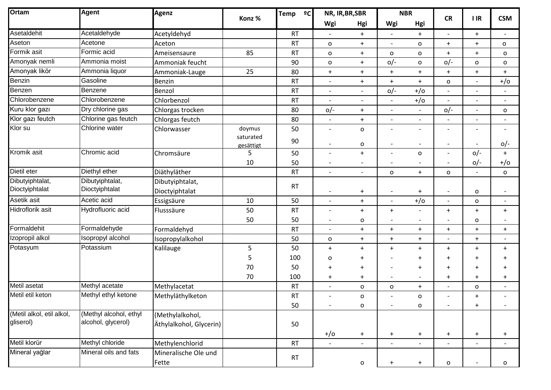| Ortam                                  | <b>Agent</b>                                 | <b>Agenz</b>                               | Konz %                 | Temp<br>2C      | NR, IR, BR, SBR                                      |                          | <b>NBR</b>               |                                                      | <b>CR</b>                |                          | <b>CSM</b>                            |
|----------------------------------------|----------------------------------------------|--------------------------------------------|------------------------|-----------------|------------------------------------------------------|--------------------------|--------------------------|------------------------------------------------------|--------------------------|--------------------------|---------------------------------------|
|                                        |                                              |                                            |                        |                 | Wgi                                                  | Hgi                      | Wgi                      | Hgi                                                  |                          | $\blacksquare$           |                                       |
| Asetaldehit                            | Acetaldehyde                                 | Acetyldehyd                                |                        | <b>RT</b>       |                                                      | $+$                      |                          | $+$                                                  | $\overline{a}$           | $+$                      | $\overline{\phantom{a}}$              |
| Aseton                                 | Acetone                                      | Aceton                                     |                        | <b>RT</b>       | $\mathsf{o}$                                         | $+$                      |                          | o                                                    | $+$                      | $+$                      | $\mathsf{o}$                          |
| Formik asit                            | Formic acid                                  | Ameisensaure                               | 85                     | <b>RT</b>       | $\mathsf{o}$                                         | $\ddot{}$                | $\mathsf{o}$             | o                                                    | $+$                      | $+$                      | O                                     |
| Amonyak nemli                          | Ammonia moist                                | Ammoniak feucht                            |                        | 90              | $\mathsf{o}$                                         | $\ddot{}$                | $O/-$                    | o                                                    | $O/-$                    | 0                        | O                                     |
| Amonyak likör                          | Ammonia liquor                               | Ammoniak-Lauge                             | 25                     | 80              | $+$                                                  | $\ddot{}$                | $+$                      | $\ddot{}$                                            | $+$                      | $+$                      | $\ddot{}$                             |
| Benzin                                 | Gasoline                                     | Benzin                                     |                        | <b>RT</b>       | $\overline{\phantom{0}}$                             | $\ddot{}$                | $+$                      | $+$                                                  | o                        | $\overline{\phantom{0}}$ | $+/-$                                 |
| Benzen                                 | Benzene                                      | Benzol                                     |                        | <b>RT</b>       | $\overline{a}$                                       | $\overline{\phantom{a}}$ | $O/-$                    | $+/-$                                                | $\overline{a}$           | $\overline{a}$           |                                       |
| Chlorobenzene                          | Chlorobenzene                                | Chlorbenzol                                |                        | <b>RT</b>       | $\overline{a}$                                       |                          |                          | $+/-$                                                | $\overline{a}$           | $\overline{a}$           |                                       |
| Kuru klor gazı                         | Dry chlorine gas                             | Chlorgas trocken                           |                        | 80              | $O/-$                                                | $\ddot{}$                | $\overline{a}$           | $\overline{a}$                                       | $O/-$                    | $\overline{a}$           | $\mathsf{o}$                          |
| Klor gazı feutch                       | Chlorine gas feutch                          | Chlorgas feutch                            |                        | 80              | $\overline{\phantom{a}}$                             | $\ddot{}$                | $\overline{\phantom{a}}$ | $\overline{\phantom{a}}$                             | $\overline{\phantom{a}}$ | $\overline{\phantom{a}}$ | $\overline{\phantom{a}}$              |
| Klor su                                | Chlorine water                               | Chlorwasser                                | doymus                 | 50              | $\overline{\phantom{a}}$                             | $\mathsf{o}\xspace$      | $\overline{a}$           | $\overline{\phantom{a}}$                             | $\overline{a}$           | $\overline{a}$           |                                       |
|                                        |                                              |                                            | saturated<br>gesättigt | 90              | $\overline{\phantom{a}}$                             | $\mathbf O$              | $\overline{a}$           | $\overline{\phantom{a}}$                             | $\overline{a}$           | $\overline{a}$           | $0/-$                                 |
| Kromik asit                            | Chromic acid                                 | Chromsäure                                 | 5                      | 50              | $\overline{\phantom{0}}$                             | $\ddot{}$                |                          | $\mathsf{o}$                                         | $\overline{\phantom{a}}$ | $O/-$                    | $+$                                   |
|                                        |                                              |                                            | 10                     | 50              | $\overline{\phantom{a}}$                             | $\overline{\phantom{a}}$ |                          | $\overline{\phantom{a}}$                             | $\overline{\phantom{a}}$ | $O/-$                    | $+/-$                                 |
| Dietil eter                            | Diethyl ether                                | Diäthyläther                               |                        | <b>RT</b>       | $\overline{a}$                                       | $\overline{\phantom{a}}$ | $\mathsf{o}$             | $\ddot{}$                                            | $\mathsf{o}$             | $\overline{a}$           | $\mathsf{o}$                          |
| Dibutyiphtalat,<br>Dioctyiphtalat      | Dibutyiphtalat,<br>Dioctyiphtalat            | Dibutyiphtalat,                            |                        | <b>RT</b>       |                                                      |                          |                          |                                                      |                          |                          |                                       |
|                                        | Acetic acid                                  | Dioctyiphtalat                             |                        |                 | $\qquad \qquad -$                                    | $\ddot{}$                | $\qquad \qquad -$        | $\ddot{}$                                            | $\overline{\phantom{a}}$ | o                        | $\overline{\phantom{a}}$              |
| Asetik asit<br>Hidroflorik asit        |                                              | Essigsäure                                 | 10                     | 50              | $\overline{\phantom{a}}$                             | $+$                      |                          | $+/-$                                                | $\qquad \qquad -$        | o                        | $\overline{\phantom{a}}$              |
|                                        | Hydrofluoric acid                            | Flusssäure                                 | 50<br>50               | <b>RT</b><br>50 | $\overline{\phantom{0}}$<br>$\overline{\phantom{a}}$ | $+$<br>o                 | $+$<br>$\overline{a}$    | $\overline{\phantom{a}}$<br>$\overline{\phantom{a}}$ | $+$<br>$\qquad \qquad -$ | $+$<br>o                 | $\ddot{}$<br>$\overline{\phantom{a}}$ |
| Formaldehit                            | Formaldehyde                                 | Formaldehyd                                |                        | <b>RT</b>       | $\overline{\phantom{a}}$                             | $\ddot{}$                | $+$                      | $\ddot{}$                                            | $\ddot{}$                | $\ddot{}$                | $\ddot{}$                             |
| Izopropil alkol                        | Isopropyl alcohol                            | Isopropylalkohol                           |                        | 50              | $\mathsf{o}$                                         | $\ddot{}$                | $+$                      | $+$                                                  | $\overline{\phantom{a}}$ | $+$                      | $\overline{\phantom{a}}$              |
| Potasyum                               | Potassium                                    | Kalilauge                                  | 5                      | 50              | $+$                                                  | $\ddot{}$                | $+$                      | $\ddot{}$                                            | $\ddot{}$                | $\ddot{}$                | $\ddot{}$                             |
|                                        |                                              |                                            | 5                      | 100             | o                                                    | $\ddot{}$                |                          | $\ddot{}$                                            | $\ddot{}$                | $\ddot{}$                | $\ddot{}$                             |
|                                        |                                              |                                            | 70                     | 50              | $\ddot{}$                                            | $\ddot{}$                |                          | $\ddot{}$                                            | $\ddot{}$                | $\ddot{}$                | $\ddot{}$                             |
|                                        |                                              |                                            | 70                     | 100             | $+$                                                  | $\ddot{}$                | $\overline{\phantom{a}}$ | $\overline{\phantom{a}}$                             | $\ddot{}$                | $\ddot{}$                | $\ddot{}$                             |
| Metil asetat                           | Methyl acetate                               | Methylacetat                               |                        | <b>RT</b>       | $\overline{\phantom{a}}$                             | o                        | o                        | $\ddot{}$                                            | $\overline{\phantom{a}}$ | o                        | $\blacksquare$                        |
| Metil etil keton                       | Methyl ethyl ketone                          | Methyläthylketon                           |                        | <b>RT</b>       |                                                      | 0                        |                          | o                                                    | $\qquad \qquad -$        | $\ddot{}$                |                                       |
|                                        |                                              |                                            |                        | 50              |                                                      | $\mathsf{o}\,$           | $\qquad \qquad -$        | $\mathbf O$                                          | $\overline{\phantom{a}}$ | $+$                      |                                       |
| (Metil alkol, etil alkol,<br>gliserol) | (Methyl alcohol, ethyl<br>alcohol, glycerol) | (Methylalkohol,<br>Äthylalkohol, Glycerin) |                        |                 |                                                      |                          |                          |                                                      |                          |                          |                                       |
|                                        |                                              |                                            |                        | 50              | $+/-$                                                | $+$                      | $+$                      | $\ddot{}$                                            | $\ddot{}$                | $+$                      | $\ddot{}$                             |
| Metil klorür                           | Methyl chloride                              | Methylenchlorid                            |                        | RT              | $\overline{\phantom{a}}$                             | $\overline{\phantom{a}}$ | $\overline{\phantom{a}}$ | $\overline{\phantom{a}}$                             | $\overline{\phantom{a}}$ | $\overline{\phantom{a}}$ | $\overline{\phantom{a}}$              |
| Mineral yağlar                         | Mineral oils and fats                        | Mineralische Ole und<br>Fette              |                        | RT              |                                                      | ${\bf O}$                | $\pm$                    | $\ddot{}$                                            | $\mathbf O$              |                          | o                                     |